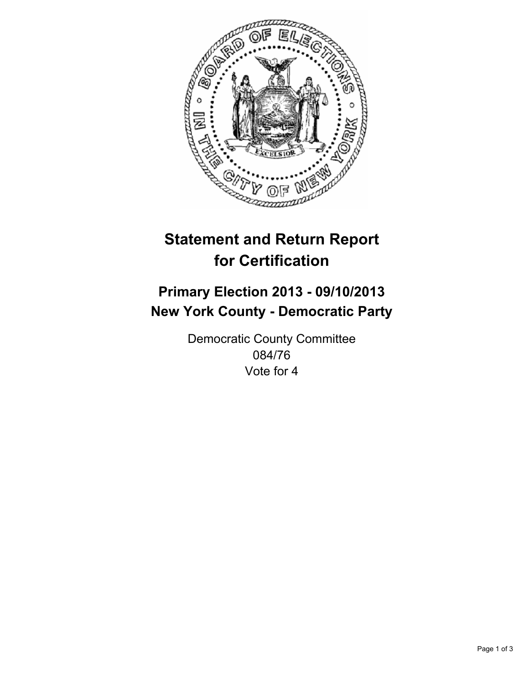

# **Statement and Return Report for Certification**

# **Primary Election 2013 - 09/10/2013 New York County - Democratic Party**

Democratic County Committee 084/76 Vote for 4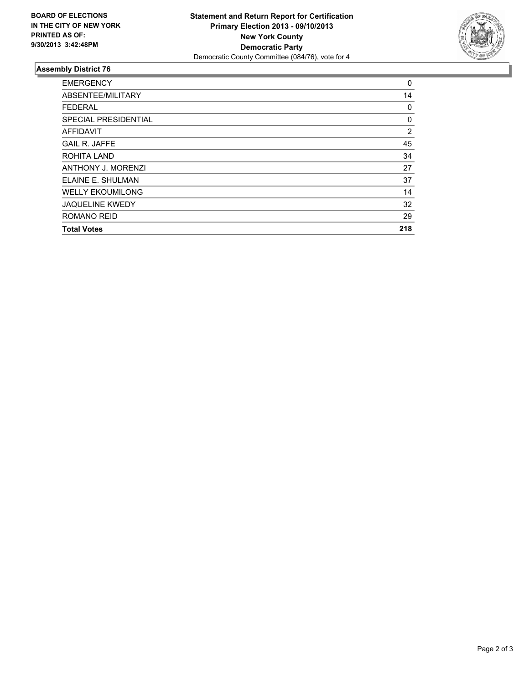

## **Assembly District 76**

| <b>EMERGENCY</b>          | 0   |
|---------------------------|-----|
| ABSENTEE/MILITARY         | 14  |
| <b>FEDERAL</b>            | 0   |
| SPECIAL PRESIDENTIAL      | 0   |
| <b>AFFIDAVIT</b>          | 2   |
| <b>GAIL R. JAFFE</b>      | 45  |
| ROHITA LAND               | 34  |
| <b>ANTHONY J. MORENZI</b> | 27  |
| ELAINE E. SHULMAN         | 37  |
| <b>WELLY EKOUMILONG</b>   | 14  |
| <b>JAQUELINE KWEDY</b>    | 32  |
| ROMANO REID               | 29  |
| <b>Total Votes</b>        | 218 |